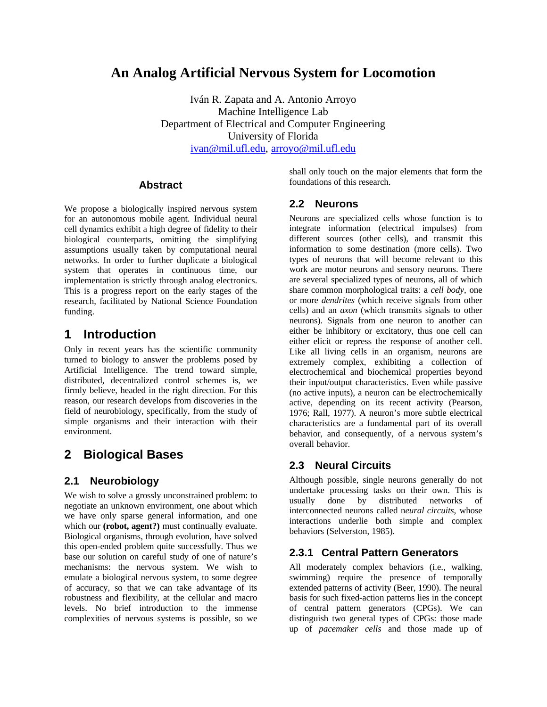## **An Analog Artificial Nervous System for Locomotion**

Iván R. Zapata and A. Antonio Arroyo Machine Intelligence Lab Department of Electrical and Computer Engineering University of Florida ivan@mil.ufl.edu, arroyo@mil.ufl.edu

#### **Abstract**

We propose a biologically inspired nervous system for an autonomous mobile agent. Individual neural cell dynamics exhibit a high degree of fidelity to their biological counterparts, omitting the simplifying assumptions usually taken by computational neural networks. In order to further duplicate a biological system that operates in continuous time, our implementation is strictly through analog electronics. This is a progress report on the early stages of the research, facilitated by National Science Foundation funding.

### **1 Introduction**

Only in recent years has the scientific community turned to biology to answer the problems posed by Artificial Intelligence. The trend toward simple, distributed, decentralized control schemes is, we firmly believe, headed in the right direction. For this reason, our research develops from discoveries in the field of neurobiology, specifically, from the study of simple organisms and their interaction with their environment.

## **2 Biological Bases**

### **2.1 Neurobiology**

We wish to solve a grossly unconstrained problem: to negotiate an unknown environment, one about which we have only sparse general information, and one which our (robot, agent?) must continually evaluate. Biological organisms, through evolution, have solved this open-ended problem quite successfully. Thus we base our solution on careful study of one of nature's mechanisms: the nervous system. We wish to emulate a biological nervous system, to some degree of accuracy, so that we can take advantage of its robustness and flexibility, at the cellular and macro levels. No brief introduction to the immense complexities of nervous systems is possible, so we shall only touch on the major elements that form the foundations of this research.

#### **2.2 Neurons**

Neurons are specialized cells whose function is to integrate information (electrical impulses) from different sources (other cells), and transmit this information to some destination (more cells). Two types of neurons that will become relevant to this work are motor neurons and sensory neurons. There are several specialized types of neurons, all of which share common morphological traits: a *cell body*, one or more *dendrites* (which receive signals from other cells) and an *axon* (which transmits signals to other neurons). Signals from one neuron to another can either be inhibitory or excitatory, thus one cell can either elicit or repress the response of another cell. Like all living cells in an organism, neurons are extremely complex, exhibiting a collection of electrochemical and biochemical properties beyond their input/output characteristics. Even while passive (no active inputs), a neuron can be electrochemically active, depending on its recent activity (Pearson, 1976; Rall, 1977). A neuron's more subtle electrical characteristics are a fundamental part of its overall behavior, and consequently, of a nervous system's overall behavior.

### **2.3 Neural Circuits**

Although possible, single neurons generally do not undertake processing tasks on their own. This is usually done by distributed networks of interconnected neurons called n*eural circuits*, whose interactions underlie both simple and complex behaviors (Selverston, 1985).

### **2.3.1 Central Pattern Generators**

All moderately complex behaviors (i.e., walking, swimming) require the presence of temporally extended patterns of activity (Beer, 1990). The neural basis for such fixed-action patterns lies in the concept of central pattern generators (CPGs). We can distinguish two general types of CPGs: those made up of *pacemaker cells* and those made up of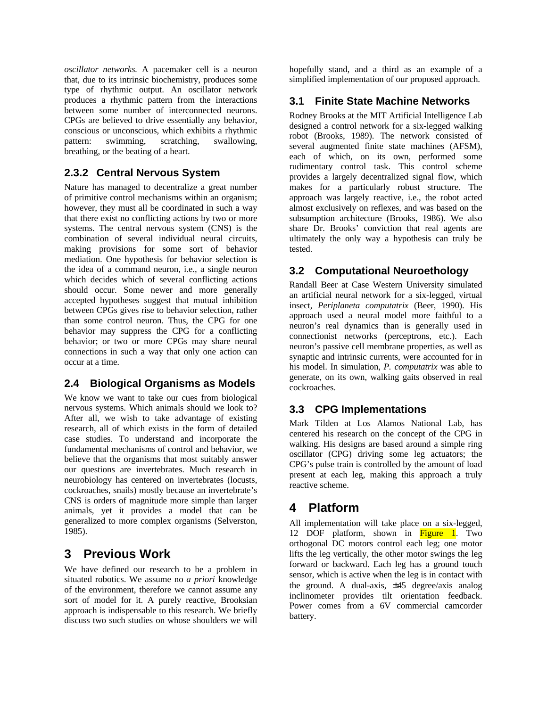*oscillator networks.* A pacemaker cell is a neuron that, due to its intrinsic biochemistry, produces some type of rhythmic output. An oscillator network produces a rhythmic pattern from the interactions between some number of interconnected neurons. CPGs are believed to drive essentially any behavior, conscious or unconscious, which exhibits a rhythmic pattern: swimming, scratching, swallowing, breathing, or the beating of a heart.

### **2.3.2 Central Nervous System**

Nature has managed to decentralize a great number of primitive control mechanisms within an organism; however, they must all be coordinated in such a way that there exist no conflicting actions by two or more systems. The central nervous system (CNS) is the combination of several individual neural circuits, making provisions for some sort of behavior mediation. One hypothesis for behavior selection is the idea of a command neuron, i.e., a single neuron which decides which of several conflicting actions should occur. Some newer and more generally accepted hypotheses suggest that mutual inhibition between CPGs gives rise to behavior selection, rather than some control neuron. Thus, the CPG for one behavior may suppress the CPG for a conflicting behavior; or two or more CPGs may share neural connections in such a way that only one action can occur at a time.

## **2.4 Biological Organisms as Models**

We know we want to take our cues from biological nervous systems. Which animals should we look to? After all, we wish to take advantage of existing research, all of which exists in the form of detailed case studies. To understand and incorporate the fundamental mechanisms of control and behavior, we believe that the organisms that most suitably answer our questions are invertebrates. Much research in neurobiology has centered on invertebrates (locusts, cockroaches, snails) mostly because an invertebrate's CNS is orders of magnitude more simple than larger animals, yet it provides a model that can be generalized to more complex organisms (Selverston, 1985).

## **3 Previous Work**

We have defined our research to be a problem in situated robotics. We assume no *a priori* knowledge of the environment, therefore we cannot assume any sort of model for it. A purely reactive, Brooksian approach is indispensable to this research. We briefly discuss two such studies on whose shoulders we will hopefully stand, and a third as an example of a simplified implementation of our proposed approach.

## **3.1 Finite State Machine Networks**

Rodney Brooks at the MIT Artificial Intelligence Lab designed a control network for a six-legged walking robot (Brooks, 1989). The network consisted of several augmented finite state machines (AFSM), each of which, on its own, performed some rudimentary control task. This control scheme provides a largely decentralized signal flow, which makes for a particularly robust structure. The approach was largely reactive, i.e., the robot acted almost exclusively on reflexes, and was based on the subsumption architecture (Brooks, 1986). We also share Dr. Brooks' conviction that real agents are ultimately the only way a hypothesis can truly be tested.

## **3.2 Computational Neuroethology**

Randall Beer at Case Western University simulated an artificial neural network for a six-legged, virtual insect, *Periplaneta computatrix* (Beer, 1990). His approach used a neural model more faithful to a neuron's real dynamics than is generally used in connectionist networks (perceptrons, etc.). Each neuron's passive cell membrane properties, as well as synaptic and intrinsic currents, were accounted for in his model. In simulation, *P. computatrix* was able to generate, on its own, walking gaits observed in real cockroaches.

## **3.3 CPG Implementations**

Mark Tilden at Los Alamos National Lab, has centered his research on the concept of the CPG in walking. His designs are based around a simple ring oscillator (CPG) driving some leg actuators; the CPG's pulse train is controlled by the amount of load present at each leg, making this approach a truly reactive scheme.

## **4 Platform**

All implementation will take place on a six-legged, 12 DOF platform, shown in Figure 1. Two orthogonal DC motors control each leg; one motor lifts the leg vertically, the other motor swings the leg forward or backward. Each leg has a ground touch sensor, which is active when the leg is in contact with the ground. A dual-axis,  $\pm 45$  degree/axis analog inclinometer provides tilt orientation feedback. Power comes from a 6V commercial camcorder battery.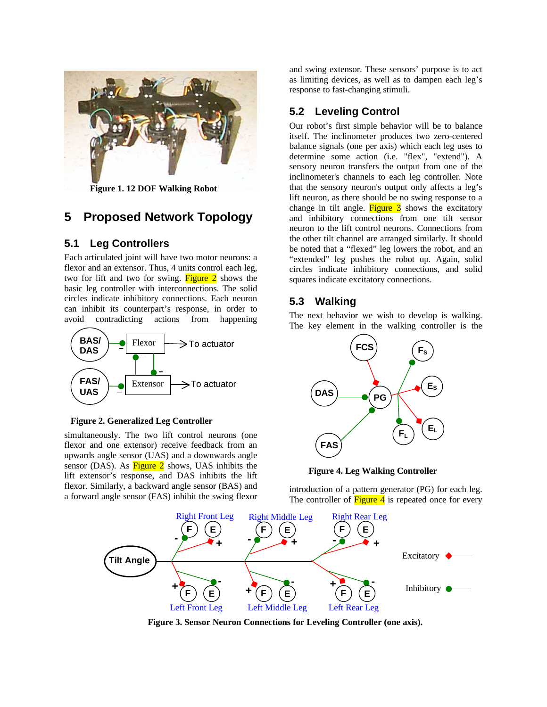

**Figure 1. 12 DOF Walking Robot**

## **5 Proposed Network Topology**

#### **5.1 Leg Controllers**

Each articulated joint will have two motor neurons: a flexor and an extensor. Thus, 4 units control each leg, two for lift and two for swing. Figure  $2$  shows the basic leg controller with interconnections. The solid circles indicate inhibitory connections. Each neuron can inhibit its counterpart's response, in order to avoid contradicting actions from happening



#### **Figure 2. Generalized Leg Controller**

simultaneously. The two lift control neurons (one flexor and one extensor) receive feedback from an upwards angle sensor (UAS) and a downwards angle sensor (DAS). As  $Figure 2$  shows, UAS inhibits the lift extensor's response, and DAS inhibits the lift flexor. Similarly, a backward angle sensor (BAS) and a forward angle sensor (FAS) inhibit the swing flexor and swing extensor. These sensors' purpose is to act as limiting devices, as well as to dampen each leg's response to fast-changing stimuli.

#### **5.2 Leveling Control**

Our robot's first simple behavior will be to balance itself. The inclinometer produces two zero-centered balance signals (one per axis) which each leg uses to determine some action (i.e. "flex", "extend"). A sensory neuron transfers the output from one of the inclinometer's channels to each leg controller. Note that the sensory neuron's output only affects a leg's lift neuron, as there should be no swing response to a change in tilt angle. Figure  $3$  shows the excitatory and inhibitory connections from one tilt sensor neuron to the lift control neurons. Connections from the other tilt channel are arranged similarly. It should be noted that a "flexed" leg lowers the robot, and an "extended" leg pushes the robot up. Again, solid circles indicate inhibitory connections, and solid squares indicate excitatory connections.

#### **5.3 Walking**

The next behavior we wish to develop is walking. The key element in the walking controller is the



**Figure 4. Leg Walking Controller**

introduction of a pattern generator (PG) for each leg. The controller of  $Figure 4$  is repeated once for every



**Figure 3. Sensor Neuron Connections for Leveling Controller (one axis).**